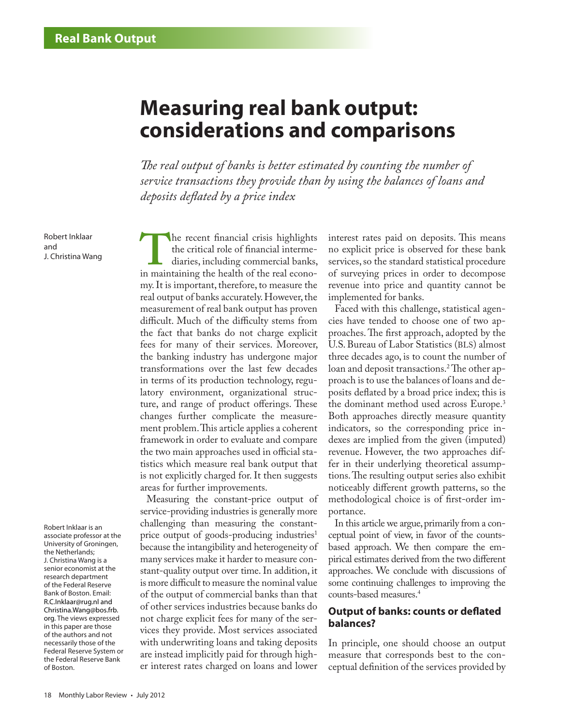# **Measuring real bank output: considerations and comparisons**

*The real output of banks is better estimated by counting the number of service transactions they provide than by using the balances of loans and deposits deflated by a price index* 

Robert Inklaar and

Robert Inklaar is an associate professor at the University of Groningen, the Netherlands; J. Christina Wang is a senior economist at the research department of the Federal Reserve Bank of Boston. Email: [R.C.Inklaar@rug.nl](mailto:R.C.Inklaar@rug.nl) and [Christina.Wang@bos.frb.](mailto:Christina.Wang%40bos.frb.org?subject=) [org](mailto:Christina.Wang%40bos.frb.org?subject=). The views expressed in this paper are those of the authors and not necessarily those of the Federal Reserve System or the Federal Reserve Bank of Boston.

Robert Inklaar<br>
J. Christina Wang<br>
J. Christina Wang<br>
in maintaining the health of the real econo-<br>
diaries, including commercial banks,<br>
in maintaining the health of the real econothe critical role of financial intermediaries, including commercial banks, my. It is important, therefore, to measure the real output of banks accurately. However, the measurement of real bank output has proven difficult. Much of the difficulty stems from the fact that banks do not charge explicit fees for many of their services. Moreover, the banking industry has undergone major transformations over the last few decades in terms of its production technology, regulatory environment, organizational structure, and range of product offerings. These changes further complicate the measurement problem. This article applies a coherent framework in order to evaluate and compare the two main approaches used in official statistics which measure real bank output that is not explicitly charged for. It then suggests areas for further improvements.

> Measuring the constant-price output of service-providing industries is generally more challenging than measuring the constantprice output of goods-producing industries<sup>1</sup> because the intangibility and heterogeneity of many services make it harder to measure constant-quality output over time. In addition, it is more difficult to measure the nominal value of the output of commercial banks than that of other services industries because banks do not charge explicit fees for many of the services they provide. Most services associated with underwriting loans and taking deposits are instead implicitly paid for through higher interest rates charged on loans and lower

interest rates paid on deposits. This means no explicit price is observed for these bank services, so the standard statistical procedure of surveying prices in order to decompose revenue into price and quantity cannot be implemented for banks.

Faced with this challenge, statistical agencies have tended to choose one of two approaches. The first approach, adopted by the U.S. Bureau of Labor Statistics (BLS) almost three decades ago, is to count the number of loan and deposit transactions.2 The other approach is to use the balances of loans and deposits deflated by a broad price index; this is the dominant method used across Europe.<sup>3</sup> Both approaches directly measure quantity indicators, so the corresponding price indexes are implied from the given (imputed) revenue. However, the two approaches differ in their underlying theoretical assumptions. The resulting output series also exhibit noticeably different growth patterns, so the methodological choice is of first-order importance.

In this article we argue, primarily from a conceptual point of view, in favor of the countsbased approach. We then compare the empirical estimates derived from the two different approaches. We conclude with discussions of some continuing challenges to improving the counts-based measures.4

## **Output of banks: counts or deflated balances?**

In principle, one should choose an output measure that corresponds best to the conceptual definition of the services provided by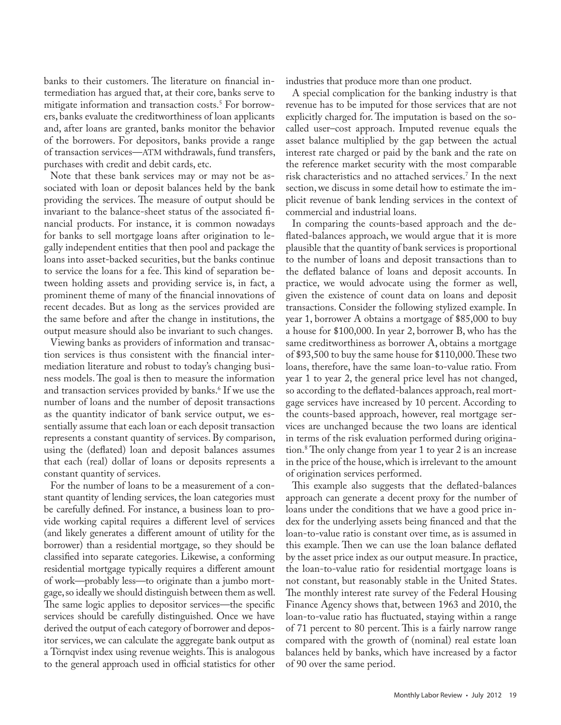banks to their customers. The literature on financial intermediation has argued that, at their core, banks serve to mitigate information and transaction costs.5 For borrowers, banks evaluate the creditworthiness of loan applicants and, after loans are granted, banks monitor the behavior of the borrowers. For depositors, banks provide a range of transaction services—ATM withdrawals, fund transfers, purchases with credit and debit cards, etc.

Note that these bank services may or may not be associated with loan or deposit balances held by the bank providing the services. The measure of output should be invariant to the balance-sheet status of the associated financial products. For instance, it is common nowadays for banks to sell mortgage loans after origination to legally independent entities that then pool and package the loans into asset-backed securities, but the banks continue to service the loans for a fee. This kind of separation between holding assets and providing service is, in fact, a prominent theme of many of the financial innovations of recent decades. But as long as the services provided are the same before and after the change in institutions, the output measure should also be invariant to such changes.

Viewing banks as providers of information and transaction services is thus consistent with the financial intermediation literature and robust to today's changing business models. The goal is then to measure the information and transaction services provided by banks.<sup>6</sup> If we use the number of loans and the number of deposit transactions as the quantity indicator of bank service output, we essentially assume that each loan or each deposit transaction represents a constant quantity of services. By comparison, using the (deflated) loan and deposit balances assumes that each (real) dollar of loans or deposits represents a constant quantity of services.

For the number of loans to be a measurement of a constant quantity of lending services, the loan categories must be carefully defined. For instance, a business loan to provide working capital requires a different level of services (and likely generates a different amount of utility for the borrower) than a residential mortgage, so they should be classified into separate categories. Likewise, a conforming residential mortgage typically requires a different amount of work—probably less—to originate than a jumbo mortgage, so ideally we should distinguish between them as well. The same logic applies to depositor services—the specific services should be carefully distinguished. Once we have derived the output of each category of borrower and depositor services, we can calculate the aggregate bank output as a Törnqvist index using revenue weights. This is analogous to the general approach used in official statistics for other

industries that produce more than one product.

A special complication for the banking industry is that revenue has to be imputed for those services that are not explicitly charged for. The imputation is based on the socalled user–cost approach. Imputed revenue equals the asset balance multiplied by the gap between the actual interest rate charged or paid by the bank and the rate on the reference market security with the most comparable risk characteristics and no attached services.7 In the next section, we discuss in some detail how to estimate the implicit revenue of bank lending services in the context of commercial and industrial loans.

In comparing the counts-based approach and the deflated-balances approach, we would argue that it is more plausible that the quantity of bank services is proportional to the number of loans and deposit transactions than to the deflated balance of loans and deposit accounts. In practice, we would advocate using the former as well, given the existence of count data on loans and deposit transactions. Consider the following stylized example. In year 1, borrower A obtains a mortgage of \$85,000 to buy a house for \$100,000. In year 2, borrower B, who has the same creditworthiness as borrower A, obtains a mortgage of \$93,500 to buy the same house for \$110,000. These two loans, therefore, have the same loan-to-value ratio. From year 1 to year 2, the general price level has not changed, so according to the deflated-balances approach, real mortgage services have increased by 10 percent. According to the counts-based approach, however, real mortgage services are unchanged because the two loans are identical in terms of the risk evaluation performed during origination.8 The only change from year 1 to year 2 is an increase in the price of the house, which is irrelevant to the amount of origination services performed.

This example also suggests that the deflated-balances approach can generate a decent proxy for the number of loans under the conditions that we have a good price index for the underlying assets being financed and that the loan-to-value ratio is constant over time, as is assumed in this example. Then we can use the loan balance deflated by the asset price index as our output measure. In practice, the loan-to-value ratio for residential mortgage loans is not constant, but reasonably stable in the United States. The monthly interest rate survey of the Federal Housing Finance Agency shows that, between 1963 and 2010, the loan-to-value ratio has fluctuated, staying within a range of 71 percent to 80 percent. This is a fairly narrow range compared with the growth of (nominal) real estate loan balances held by banks, which have increased by a factor of 90 over the same period.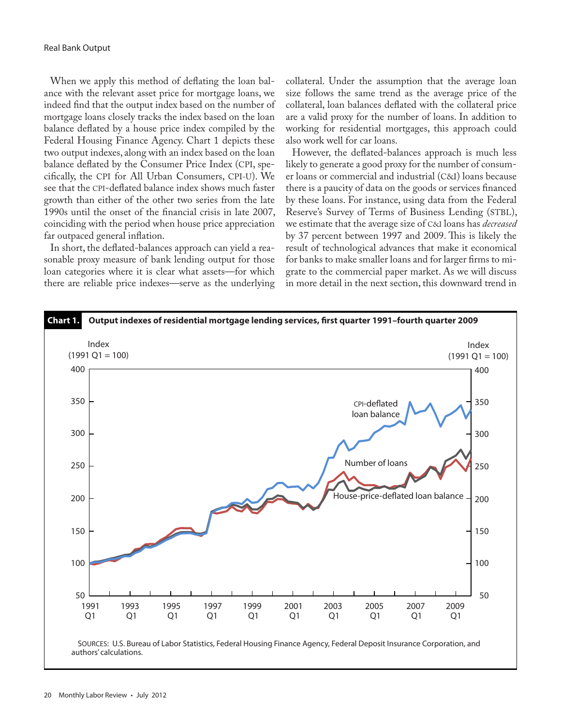When we apply this method of deflating the loan balance with the relevant asset price for mortgage loans, we indeed find that the output index based on the number of mortgage loans closely tracks the index based on the loan balance deflated by a house price index compiled by the Federal Housing Finance Agency. Chart 1 depicts these two output indexes, along with an index based on the loan balance deflated by the Consumer Price Index (CPI, specifically, the CPI for All Urban Consumers, CPI-U). We see that the CPI-deflated balance index shows much faster growth than either of the other two series from the late 1990s until the onset of the financial crisis in late 2007, coinciding with the period when house price appreciation far outpaced general inflation.

In short, the deflated-balances approach can yield a reasonable proxy measure of bank lending output for those loan categories where it is clear what assets—for which there are reliable price indexes—serve as the underlying collateral. Under the assumption that the average loan size follows the same trend as the average price of the collateral, loan balances deflated with the collateral price are a valid proxy for the number of loans. In addition to working for residential mortgages, this approach could also work well for car loans.

However, the deflated-balances approach is much less likely to generate a good proxy for the number of consumer loans or commercial and industrial (C&I) loans because there is a paucity of data on the goods or services financed by these loans. For instance, using data from the Federal Reserve's Survey of Terms of Business Lending (STBL), we estimate that the average size of C&I loans has *decreased* by 37 percent between 1997 and 2009. This is likely the result of technological advances that make it economical for banks to make smaller loans and for larger firms to migrate to the commercial paper market. As we will discuss in more detail in the next section, this downward trend in

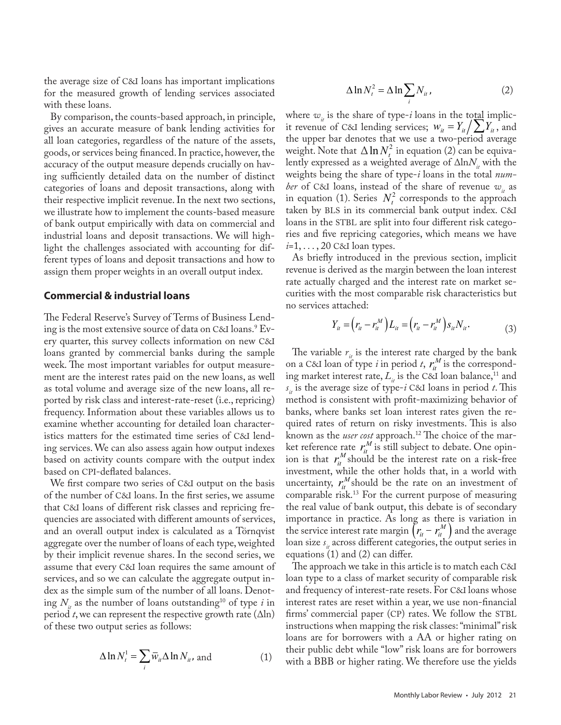the average size of C&I loans has important implications for the measured growth of lending services associated with these loans.

By comparison, the counts-based approach, in principle, gives an accurate measure of bank lending activities for all loan categories, regardless of the nature of the assets, goods, or services being financed. In practice, however, the accuracy of the output measure depends crucially on having sufficiently detailed data on the number of distinct categories of loans and deposit transactions, along with their respective implicit revenue. In the next two sections, we illustrate how to implement the counts-based measure of bank output empirically with data on commercial and industrial loans and deposit transactions. We will highlight the challenges associated with accounting for different types of loans and deposit transactions and how to assign them proper weights in an overall output index.

#### **Commercial & industrial loans**

ported by risk class and interest-rate-reset (i.e., repricing) frequency. Information about these variables allows us to examine whether accounting for detailed loan characteristics matters for the estimated time series of C&I lending services. We can also assess again how output indexes based on activity counts compare with the output index based on CPI-deflated balances. The Federal Reserve's Survey of Terms of Business Lending is the most extensive source of data on C&I loans.<sup>9</sup> Every quarter, this survey collects information on new C&I loans granted by commercial banks during the sample week. The most important variables for output measurement are the interest rates paid on the new loans, as well as total volume and average size of the new loans, all re-

We first compare two series of C&I output on the basis of the number of C&I loans. In the first series, we assume that C&I loans of different risk classes and repricing frequencies are associated with different amounts of services, and an overall output index is calculated as a Törnqvist aggregate over the number of loans of each type, weighted by their implicit revenue shares. In the second series, we assume that every C&I loan requires the same amount of services, and so we can calculate the aggregate output index as the simple sum of the number of all loans. Denoting  $N_i$  as the number of loans outstanding<sup>10</sup> of type *i* in period *t*, we can represent the respective growth rate  $(\Delta \ln)$ of these two output series as follows:

$$
\Delta \ln N_t^1 = \sum_i \overline{w}_{ii} \Delta \ln N_{ii}
$$
, and (1)

$$
\Delta \ln N_t^2 = \Delta \ln \sum_i N_{ii}, \qquad (2)
$$

where  $w_{ij}$  is the share of type-*i* loans in the total implicit revenue of C&I lending services;  $w_{it} = Y_{it} / \sum Y_{it}$ , and *i* the upper bar denotes that we use a two-period average *i* weight. Note that  $\Delta \ln N_t^2$  in equation (2) can be equivalently expressed as a weighted average of ∆ln*N*<sub>1</sub> with the weights being the share of type-*i* loans in the total *number* of C&I loans, instead of the share of revenue  $w_i$  as in equation (1). Series  $N_t^2$  corresponds to the approach taken by BLS in its commercial bank output index. C&I loans in the STBL are split into four different risk categories and five repricing categories, which means we have *i*=1, . . . , 20 C&I loan types.

As briefly introduced in the previous section, implicit revenue is derived as the margin between the loan interest rate actually charged and the interest rate on market securities with the most comparable risk characteristics but no services attached:

$$
Y_{it} = (r_{it} - r_{it}^M) L_{it} = (r_{it} - r_{it}^M) s_{it} N_{it}.
$$
 (3)

The variable  $r_{it}$  is the interest rate charged by the bank on a C&I loan of type *i* in period *t*,  $r_i^M$  is the corresponding market interest rate,  $L_i$  is the C&I loan balance,<sup>11</sup> and  $s_{it}$  is the average size of type-*i* C&I loans in period *t*. This method is consistent with profit-maximizing behavior of banks, where banks set loan interest rates given the required rates of return on risky investments. This is also known as the *user cost* approach.<sup>12</sup> The choice of the market reference rate  $r_i^M$  is still subject to debate. One opinion is that  $r_i^M$  should be the interest rate on a risk-free investment, while the other holds that, in a world with uncertainty,  $r_i^M$  should be the rate on an investment of comparable risk.13 For the current purpose of measuring the real value of bank output, this debate is of secondary importance in practice. As long as there is variation in the service interest rate margin  $\left( r_{it} - r_{it}^{M} \right)$  and the average loan size  $s_{it}$  across different categories, the output series in equations (1) and (2) can differ.

The approach we take in this article is to match each C&I loan type to a class of market security of comparable risk and frequency of interest-rate resets. For C&I loans whose interest rates are reset within a year, we use non-financial firms' commercial paper (CP) rates. We follow the STBL instructions when mapping the risk classes: "minimal" risk loans are for borrowers with a AA or higher rating on their public debt while "low" risk loans are for borrowers with a BBB or higher rating. We therefore use the yields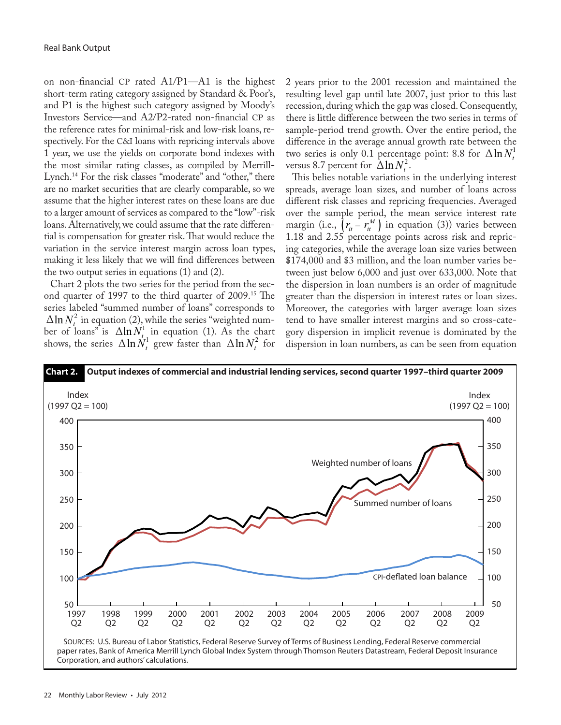on non-financial CP rated A1/P1—A1 is the highest short-term rating category assigned by Standard & Poor's, and P1 is the highest such category assigned by Moody's Investors Service—and A2/P2-rated non-financial CP as the reference rates for minimal-risk and low-risk loans, respectively. For the C&I loans with repricing intervals above 1 year, we use the yields on corporate bond indexes with the most similar rating classes, as compiled by Merrill-Lynch.<sup>14</sup> For the risk classes "moderate" and "other," there are no market securities that are clearly comparable, so we assume that the higher interest rates on these loans are due to a larger amount of services as compared to the "low"-risk loans. Alternatively, we could assume that the rate differential is compensation for greater risk. That would reduce the variation in the service interest margin across loan types, making it less likely that we will find differences between the two output series in equations (1) and (2).

Chart 2 plots the two series for the period from the second quarter of 1997 to the third quarter of 2009.15 The series labeled "summed number of loans" corresponds to  $\Delta \ln N_t^2$  in equation (2), while the series "weighted number of loans<sup>"</sup> is  $\Delta \ln N_{t}^1$  in equation (1). As the chart shows, the series  $\Delta \ln \dot{N}_t^1$  grew faster than  $\Delta \ln N_t^2$  for ∆

2 years prior to the 2001 recession and maintained the resulting level gap until late 2007, just prior to this last recession, during which the gap was closed. Consequently, there is little difference between the two series in terms of sample-period trend growth. Over the entire period, the difference in the average annual growth rate between the two series is only 0.1 percentage point: 8.8 for  $\Delta \ln N_t^1$ versus 8.7 percent for  $\Delta \ln N_t^2$ .

This belies notable variations in the underlying interest spreads, average loan sizes, and number of loans across different risk classes and repricing frequencies. Averaged over the sample period, the mean service interest rate margin (i.e.,  $\left(r_u - r_u^M\right)$  in equation (3)) varies between 1.18 and 2.55 percentage points across risk and repricing categories, while the average loan size varies between \$174,000 and \$3 million, and the loan number varies between just below 6,000 and just over 633,000. Note that the dispersion in loan numbers is an order of magnitude greater than the dispersion in interest rates or loan sizes. Moreover, the categories with larger average loan sizes tend to have smaller interest margins and so cross-category dispersion in implicit revenue is dominated by the ∆ dispersion in loan numbers, as can be seen from equation

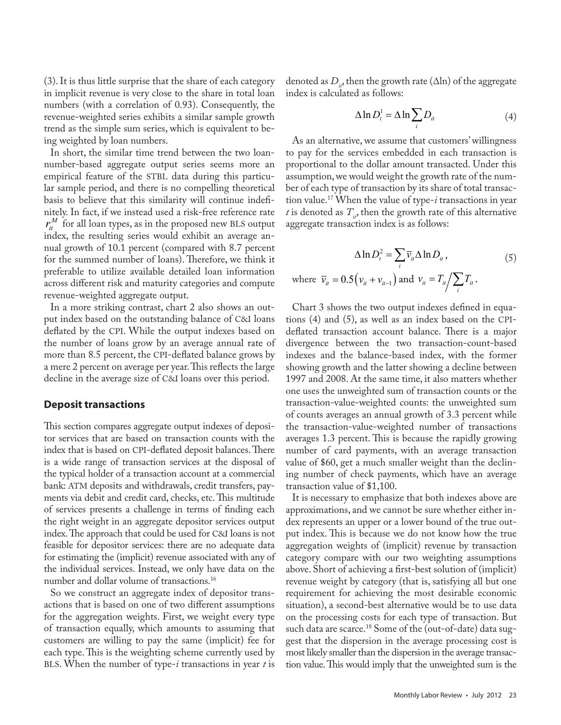(3). It is thus little surprise that the share of each category in implicit revenue is very close to the share in total loan numbers (with a correlation of 0.93). Consequently, the revenue-weighted series exhibits a similar sample growth trend as the simple sum series, which is equivalent to being weighted by loan numbers.

In short, the similar time trend between the two loannumber-based aggregate output series seems more an empirical feature of the STBL data during this particular sample period, and there is no compelling theoretical basis to believe that this similarity will continue indefinitely. In fact, if we instead used a risk-free reference rate  $r_{it}^M$  for all loan types, as in the proposed new BLS output index, the resulting series would exhibit an average annual growth of 10.1 percent (compared with 8.7 percent for the summed number of loans). Therefore, we think it preferable to utilize available detailed loan information across different risk and maturity categories and compute revenue-weighted aggregate output.

In a more striking contrast, chart 2 also shows an output index based on the outstanding balance of C&I loans deflated by the CPI. While the output indexes based on the number of loans grow by an average annual rate of more than 8.5 percent, the CPI-deflated balance grows by a mere 2 percent on average per year. This reflects the large decline in the average size of C&I loans over this period.

#### **Deposit transactions**

This section compares aggregate output indexes of depositor services that are based on transaction counts with the index that is based on CPI-deflated deposit balances. There is a wide range of transaction services at the disposal of the typical holder of a transaction account at a commercial bank: ATM deposits and withdrawals, credit transfers, payments via debit and credit card, checks, etc. This multitude of services presents a challenge in terms of finding each the right weight in an aggregate depositor services output index. The approach that could be used for C&I loans is not feasible for depositor services: there are no adequate data for estimating the (implicit) revenue associated with any of the individual services. Instead, we only have data on the number and dollar volume of transactions.16

So we construct an aggregate index of depositor transactions that is based on one of two different assumptions for the aggregation weights. First, we weight every type of transaction equally, which amounts to assuming that customers are willing to pay the same (implicit) fee for each type. This is the weighting scheme currently used by BLS. When the number of type-*i* transactions in year *t* is

denoted as  $D_{i}$ , then the growth rate ( $\Delta$ ln) of the aggregate index is calculated as follows:

$$
\Delta \ln D_t^1 = \Delta \ln \sum_i D_{ii} \tag{4}
$$

As an alternative, we assume that customers' willingness to pay for the services embedded in each transaction is proportional to the dollar amount transacted. Under this assumption, we would weight the growth rate of the number of each type of transaction by its share of total transaction value.17 When the value of type-*i* transactions in year *t* is denoted as  $T_{i}$ , then the growth rate of this alternative aggregate transaction index is as follows:

$$
\Delta \ln D_t^2 = \sum_i \overline{v}_{ii} \Delta \ln D_{ii},
$$
  
where  $\overline{v}_{ii} = 0.5 (v_{ii} + v_{ii-1})$  and  $v_{ii} = T_{ii} / \sum_i T_{ii}$ . (5)

Chart 3 shows the two output indexes defined in equations (4) and (5), as well as an index based on the CPIdeflated transaction account balance. There is a major divergence between the two transaction-count-based indexes and the balance-based index, with the former showing growth and the latter showing a decline between 1997 and 2008. At the same time, it also matters whether one uses the unweighted sum of transaction counts or the transaction-value-weighted counts: the unweighted sum of counts averages an annual growth of 3.3 percent while the transaction-value-weighted number of transactions averages 1.3 percent. This is because the rapidly growing number of card payments, with an average transaction value of \$60, get a much smaller weight than the declining number of check payments, which have an average transaction value of \$1,100.

It is necessary to emphasize that both indexes above are approximations, and we cannot be sure whether either index represents an upper or a lower bound of the true output index. This is because we do not know how the true aggregation weights of (implicit) revenue by transaction category compare with our two weighting assumptions above. Short of achieving a first-best solution of (implicit) revenue weight by category (that is, satisfying all but one requirement for achieving the most desirable economic situation), a second-best alternative would be to use data on the processing costs for each type of transaction. But such data are scarce.<sup>18</sup> Some of the (out-of-date) data suggest that the dispersion in the average processing cost is most likely smaller than the dispersion in the average transaction value. This would imply that the unweighted sum is the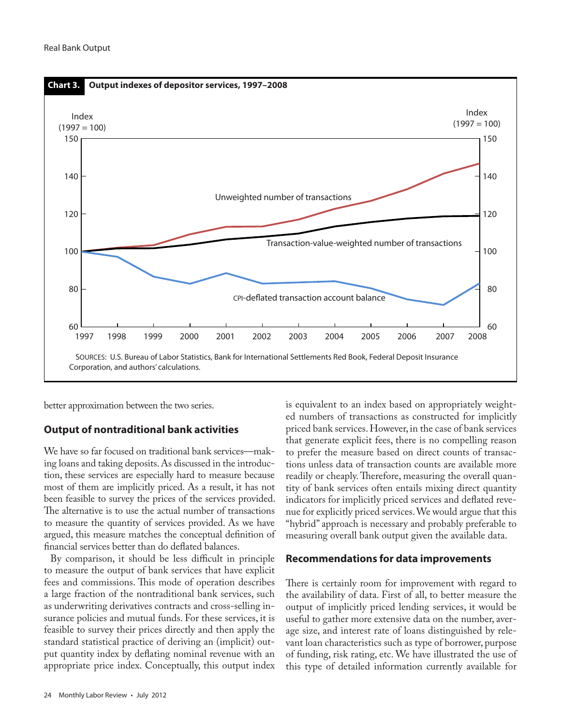

better approximation between the two series.

## **Output of nontraditional bank activities**

We have so far focused on traditional bank services—making loans and taking deposits. As discussed in the introduction, these services are especially hard to measure because most of them are implicitly priced. As a result, it has not been feasible to survey the prices of the services provided. The alternative is to use the actual number of transactions to measure the quantity of services provided. As we have argued, this measure matches the conceptual definition of financial services better than do deflated balances.

By comparison, it should be less difficult in principle to measure the output of bank services that have explicit fees and commissions. This mode of operation describes a large fraction of the nontraditional bank services, such as underwriting derivatives contracts and cross-selling insurance policies and mutual funds. For these services, it is feasible to survey their prices directly and then apply the standard statistical practice of deriving an (implicit) output quantity index by deflating nominal revenue with an appropriate price index. Conceptually, this output index

is equivalent to an index based on appropriately weighted numbers of transactions as constructed for implicitly priced bank services. However, in the case of bank services that generate explicit fees, there is no compelling reason to prefer the measure based on direct counts of transactions unless data of transaction counts are available more readily or cheaply. Therefore, measuring the overall quantity of bank services often entails mixing direct quantity indicators for implicitly priced services and deflated revenue for explicitly priced services. We would argue that this "hybrid" approach is necessary and probably preferable to measuring overall bank output given the available data.

## **Recommendations for data improvements**

There is certainly room for improvement with regard to the availability of data. First of all, to better measure the output of implicitly priced lending services, it would be useful to gather more extensive data on the number, average size, and interest rate of loans distinguished by relevant loan characteristics such as type of borrower, purpose of funding, risk rating, etc. We have illustrated the use of this type of detailed information currently available for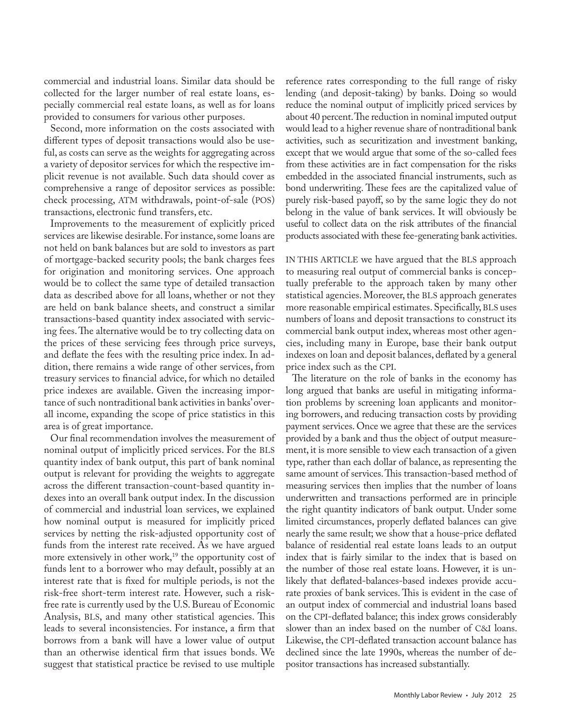commercial and industrial loans. Similar data should be collected for the larger number of real estate loans, especially commercial real estate loans, as well as for loans provided to consumers for various other purposes.

Second, more information on the costs associated with different types of deposit transactions would also be useful, as costs can serve as the weights for aggregating across a variety of depositor services for which the respective implicit revenue is not available. Such data should cover as comprehensive a range of depositor services as possible: check processing, ATM withdrawals, point-of-sale (POS) transactions, electronic fund transfers, etc.

Improvements to the measurement of explicitly priced services are likewise desirable. For instance, some loans are not held on bank balances but are sold to investors as part of mortgage-backed security pools; the bank charges fees for origination and monitoring services. One approach would be to collect the same type of detailed transaction data as described above for all loans, whether or not they are held on bank balance sheets, and construct a similar transactions-based quantity index associated with servicing fees. The alternative would be to try collecting data on the prices of these servicing fees through price surveys, and deflate the fees with the resulting price index. In addition, there remains a wide range of other services, from treasury services to financial advice, for which no detailed price indexes are available. Given the increasing importance of such nontraditional bank activities in banks' overall income, expanding the scope of price statistics in this area is of great importance.

Our final recommendation involves the measurement of nominal output of implicitly priced services. For the BLS quantity index of bank output, this part of bank nominal output is relevant for providing the weights to aggregate across the different transaction-count-based quantity indexes into an overall bank output index. In the discussion of commercial and industrial loan services, we explained how nominal output is measured for implicitly priced services by netting the risk-adjusted opportunity cost of funds from the interest rate received. As we have argued more extensively in other work,<sup>19</sup> the opportunity cost of funds lent to a borrower who may default, possibly at an interest rate that is fixed for multiple periods, is not the risk-free short-term interest rate. However, such a riskfree rate is currently used by the U.S. Bureau of Economic Analysis, BLS, and many other statistical agencies. This leads to several inconsistencies. For instance, a firm that borrows from a bank will have a lower value of output than an otherwise identical firm that issues bonds. We suggest that statistical practice be revised to use multiple

reference rates corresponding to the full range of risky lending (and deposit-taking) by banks. Doing so would reduce the nominal output of implicitly priced services by about 40 percent. The reduction in nominal imputed output would lead to a higher revenue share of nontraditional bank activities, such as securitization and investment banking, except that we would argue that some of the so-called fees from these activities are in fact compensation for the risks embedded in the associated financial instruments, such as bond underwriting. These fees are the capitalized value of purely risk-based payoff, so by the same logic they do not belong in the value of bank services. It will obviously be useful to collect data on the risk attributes of the financial products associated with these fee-generating bank activities.

IN THIS ARTICLE we have argued that the BLS approach to measuring real output of commercial banks is conceptually preferable to the approach taken by many other statistical agencies. Moreover, the BLS approach generates more reasonable empirical estimates. Specifically, BLS uses numbers of loans and deposit transactions to construct its commercial bank output index, whereas most other agencies, including many in Europe, base their bank output indexes on loan and deposit balances, deflated by a general price index such as the CPI.

The literature on the role of banks in the economy has long argued that banks are useful in mitigating information problems by screening loan applicants and monitoring borrowers, and reducing transaction costs by providing payment services. Once we agree that these are the services provided by a bank and thus the object of output measurement, it is more sensible to view each transaction of a given type, rather than each dollar of balance, as representing the same amount of services. This transaction-based method of measuring services then implies that the number of loans underwritten and transactions performed are in principle the right quantity indicators of bank output. Under some limited circumstances, properly deflated balances can give nearly the same result; we show that a house-price deflated balance of residential real estate loans leads to an output index that is fairly similar to the index that is based on the number of those real estate loans. However, it is unlikely that deflated-balances-based indexes provide accurate proxies of bank services. This is evident in the case of an output index of commercial and industrial loans based on the CPI-deflated balance; this index grows considerably slower than an index based on the number of C&I loans. Likewise, the CPI-deflated transaction account balance has declined since the late 1990s, whereas the number of depositor transactions has increased substantially.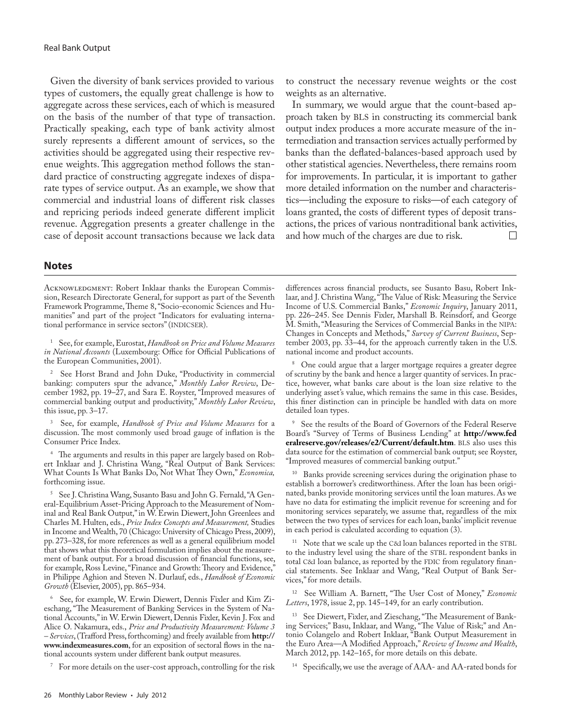Given the diversity of bank services provided to various types of customers, the equally great challenge is how to aggregate across these services, each of which is measured on the basis of the number of that type of transaction. Practically speaking, each type of bank activity almost surely represents a different amount of services, so the activities should be aggregated using their respective revenue weights. This aggregation method follows the standard practice of constructing aggregate indexes of disparate types of service output. As an example, we show that commercial and industrial loans of different risk classes and repricing periods indeed generate different implicit revenue. Aggregation presents a greater challenge in the case of deposit account transactions because we lack data

to construct the necessary revenue weights or the cost weights as an alternative.

In summary, we would argue that the count-based approach taken by BLS in constructing its commercial bank output index produces a more accurate measure of the intermediation and transaction services actually performed by banks than the deflated-balances-based approach used by other statistical agencies. Nevertheless, there remains room for improvements. In particular, it is important to gather more detailed information on the number and characteristics—including the exposure to risks—of each category of loans granted, the costs of different types of deposit transactions, the prices of various nontraditional bank activities, and how much of the charges are due to risk.  $\Box$ 

#### **Notes**

ACKNOWLEDGMENT: Robert Inklaar thanks the European Commission, Research Directorate General, for support as part of the Seventh Framework Programme, Theme 8, "Socio-economic Sciences and Humanities" and part of the project "Indicators for evaluating international performance in service sectors" (INDICSER).

1 See, for example, Eurostat, *Handbook on Price and Volume Measures in National Accounts* (Luxembourg: Office for Official Publications of the European Communities, 2001).

See Horst Brand and John Duke, "Productivity in commercial banking: computers spur the advance," *Monthly Labor Review*, December 1982, pp. 19–27, and Sara E. Royster, "Improved measures of commercial banking output and productivity," *Monthly Labor Review*, this issue, pp. 3–17.

3 See, for example, *Handbook of Price and Volume Measures* for a discussion. The most commonly used broad gauge of inflation is the Consumer Price Index.

The arguments and results in this paper are largely based on Robert Inklaar and J. Christina Wang, "Real Output of Bank Services: What Counts Is What Banks Do, Not What They Own," *Economica,* forthcoming issue.

5 See J. Christina Wang, Susanto Basu and John G. Fernald, "A General-Equilibrium Asset-Pricing Approach to the Measurement of Nominal and Real Bank Output," in W. Erwin Diewert, John Greenlees and Charles M. Hulten, eds., *Price Index Concepts and Measurement,* Studies in Income and Wealth, 70 (Chicago: University of Chicago Press, 2009), pp. 273–328, for more references as well as a general equilibrium model that shows what this theoretical formulation implies about the measurement of bank output. For a broad discussion of financial functions, see, for example, Ross Levine, "Finance and Growth: Theory and Evidence," in Philippe Aghion and Steven N. Durlauf, eds., *Handbook of Economic Growth* (Elsevier, 2005), pp. 865–934.

6 See, for example, W. Erwin Diewert, Dennis Fixler and Kim Zieschang, "The Measurement of Banking Services in the System of National Accounts," in W. Erwin Diewert, Dennis Fixler, Kevin J. Fox and Alice O. Nakamura, eds., *Price and Productivity Measurement: Volume 3 – Services*, (Trafford Press, forthcoming) and freely available from **[http://](http://www.indexmeasures.com) [www.indexmeasures.com](http://www.indexmeasures.com)**, for an exposition of sectoral flows in the national accounts system under different bank output measures.

For more details on the user-cost approach, controlling for the risk

differences across financial products, see Susanto Basu, Robert Inklaar, and J. Christina Wang, "The Value of Risk: Measuring the Service Income of U.S. Commercial Banks," *Economic Inquiry*, January 2011, pp. 226–245. See Dennis Fixler, Marshall B. Reinsdorf, and George M. Smith, "Measuring the Services of Commercial Banks in the NIPA: Changes in Concepts and Methods," *Survey of Current Business*, September 2003, pp. 33–44, for the approach currently taken in the U.S. national income and product accounts.

<sup>8</sup> One could argue that a larger mortgage requires a greater degree of scrutiny by the bank and hence a larger quantity of services. In practice, however, what banks care about is the loan size relative to the underlying asset's value, which remains the same in this case. Besides, this finer distinction can in principle be handled with data on more detailed loan types.

See the results of the Board of Governors of the Federal Reserve Board's "Survey of Terms of Business Lending" at **[http://www.fed](http://www.federalreserve.gov/releases/e2/Current/default.htm) [eralreserve.gov/releases/e2/Current/default.htm](http://www.federalreserve.gov/releases/e2/Current/default.htm)**. BLS also uses this data source for the estimation of commercial bank output; see Royster, "Improved measures of commercial banking output."

<sup>10</sup> Banks provide screening services during the origination phase to establish a borrower's creditworthiness. After the loan has been originated, banks provide monitoring services until the loan matures. As we have no data for estimating the implicit revenue for screening and for monitoring services separately, we assume that, regardless of the mix between the two types of services for each loan, banks' implicit revenue in each period is calculated according to equation (3).

<sup>11</sup> Note that we scale up the C&I loan balances reported in the STBL to the industry level using the share of the STBL respondent banks in total C&I loan balance, as reported by the FDIC from regulatory financial statements. See Inklaar and Wang, "Real Output of Bank Services," for more details.

12 See William A. Barnett, "The User Cost of Money," *Economic Letters*, 1978, issue 2, pp. 145–149, for an early contribution.

13 See Diewert, Fixler, and Zieschang, "The Measurement of Banking Services;" Basu, Inklaar, and Wang, "The Value of Risk;" and Antonio Colangelo and Robert Inklaar, "Bank Output Measurement in the Euro Area—A Modified Approach," *Review of Income and Wealth*, March 2012, pp. 142–165, for more details on this debate.

14 Specifically, we use the average of AAA- and AA-rated bonds for